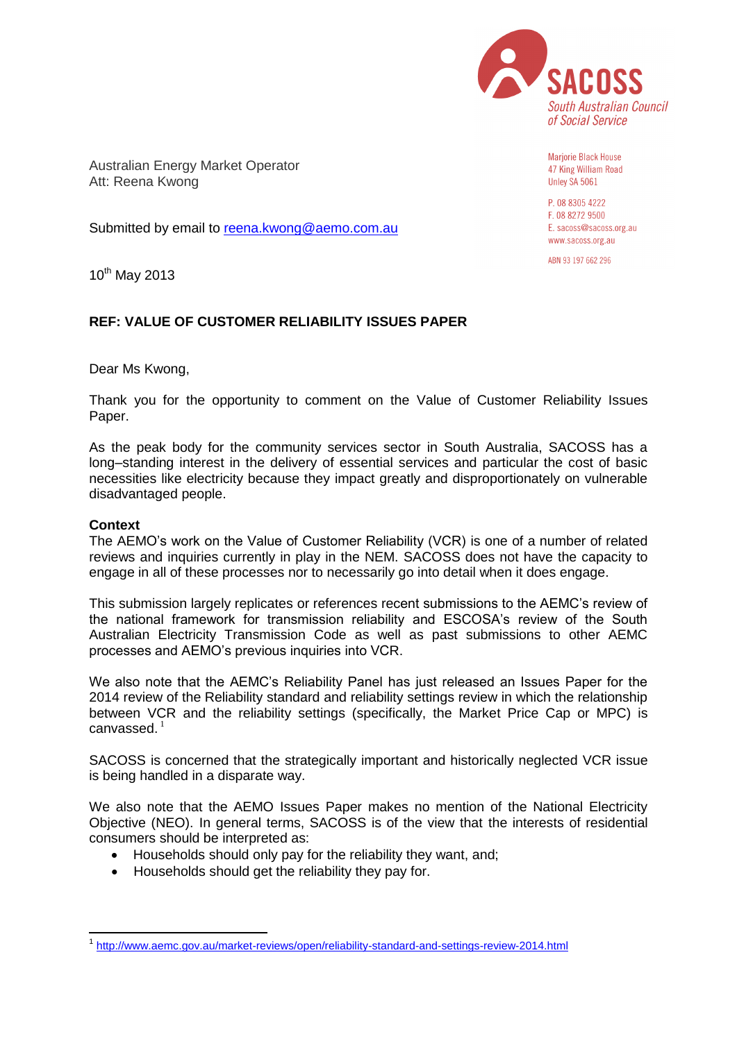

Australian Energy Market Operator Att: Reena Kwong

Submitted by email to [reena.kwong@aemo.com.au](mailto:reena.kwong@aemo.com.au)

Marjorie Black House 47 King William Road Unley SA 5061

P. 08 8305 4222 F. 08 8272 9500 E. sacoss@sacoss.org.au www.sacoss.org.au

ABN 93 197 662 296

 $10^{th}$  May 2013

## **REF: VALUE OF CUSTOMER RELIABILITY ISSUES PAPER**

Dear Ms Kwong,

Thank you for the opportunity to comment on the Value of Customer Reliability Issues Paper.

As the peak body for the community services sector in South Australia, SACOSS has a long–standing interest in the delivery of essential services and particular the cost of basic necessities like electricity because they impact greatly and disproportionately on vulnerable disadvantaged people.

## **Context**

-

The AEMO's work on the Value of Customer Reliability (VCR) is one of a number of related reviews and inquiries currently in play in the NEM. SACOSS does not have the capacity to engage in all of these processes nor to necessarily go into detail when it does engage.

This submission largely replicates or references recent submissions to the AEMC's review of the national framework for transmission reliability and ESCOSA's review of the South Australian Electricity Transmission Code as well as past submissions to other AEMC processes and AEMO's previous inquiries into VCR.

We also note that the AEMC's Reliability Panel has just released an Issues Paper for the 2014 review of the Reliability standard and reliability settings review in which the relationship between VCR and the reliability settings (specifically, the Market Price Cap or MPC) is canvassed. $1$ 

SACOSS is concerned that the strategically important and historically neglected VCR issue is being handled in a disparate way.

We also note that the AEMO Issues Paper makes no mention of the National Electricity Objective (NEO). In general terms, SACOSS is of the view that the interests of residential consumers should be interpreted as:

- Households should only pay for the reliability they want, and;
- Households should get the reliability they pay for.

<sup>1</sup> <http://www.aemc.gov.au/market-reviews/open/reliability-standard-and-settings-review-2014.html>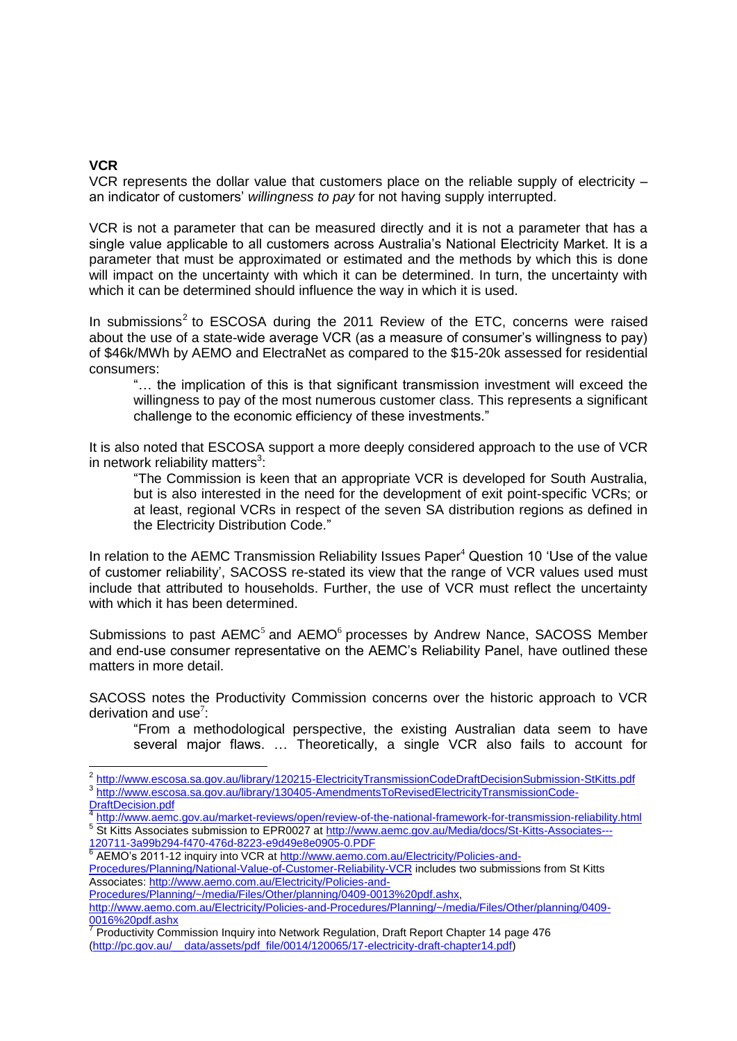## **VCR**

VCR represents the dollar value that customers place on the reliable supply of electricity – an indicator of customers' *willingness to pay* for not having supply interrupted.

VCR is not a parameter that can be measured directly and it is not a parameter that has a single value applicable to all customers across Australia's National Electricity Market. It is a parameter that must be approximated or estimated and the methods by which this is done will impact on the uncertainty with which it can be determined. In turn, the uncertainty with which it can be determined should influence the way in which it is used.

In submissions<sup>2</sup> to ESCOSA during the 2011 Review of the ETC, concerns were raised about the use of a state-wide average VCR (as a measure of consumer's willingness to pay) of \$46k/MWh by AEMO and ElectraNet as compared to the \$15-20k assessed for residential consumers:

"… the implication of this is that significant transmission investment will exceed the willingness to pay of the most numerous customer class. This represents a significant challenge to the economic efficiency of these investments."

It is also noted that ESCOSA support a more deeply considered approach to the use of VCR in network reliability matters $3$ :

"The Commission is keen that an appropriate VCR is developed for South Australia, but is also interested in the need for the development of exit point-specific VCRs; or at least, regional VCRs in respect of the seven SA distribution regions as defined in the Electricity Distribution Code."

In relation to the AEMC Transmission Reliability Issues Paper $4$  Question 10 'Use of the value of customer reliability', SACOSS re-stated its view that the range of VCR values used must include that attributed to households. Further, the use of VCR must reflect the uncertainty with which it has been determined.

Submissions to past AEMC<sup>5</sup> and AEMO<sup>6</sup> processes by Andrew Nance, SACOSS Member and end-use consumer representative on the AEMC's Reliability Panel, have outlined these matters in more detail.

SACOSS notes the Productivity Commission concerns over the historic approach to VCR derivation and use $7$ :

"From a methodological perspective, the existing Australian data seem to have several major flaws. … Theoretically, a single VCR also fails to account for

\_<br><sup>2</sup> <http://www.escosa.sa.gov.au/library/120215-ElectricityTransmissionCodeDraftDecisionSubmission-StKitts.pdf> 3 [http://www.escosa.sa.gov.au/library/130405-AmendmentsToRevisedElectricityTransmissionCode-](http://www.escosa.sa.gov.au/library/130405-AmendmentsToRevisedElectricityTransmissionCode-DraftDecision.pdf)

[DraftDecision.pdf](http://www.escosa.sa.gov.au/library/130405-AmendmentsToRevisedElectricityTransmissionCode-DraftDecision.pdf) <http://www.aemc.gov.au/market-reviews/open/review-of-the-national-framework-for-transmission-reliability.html> <sup>5</sup> St Kitts Associates submission to EPR0027 at [http://www.aemc.gov.au/Media/docs/St-Kitts-Associates---](http://www.aemc.gov.au/Media/docs/St-Kitts-Associates---120711-3a99b294-f470-476d-8223-e9d49e8e0905-0.PDF)

[<sup>120711-3</sup>a99b294-f470-476d-8223-e9d49e8e0905-0.PDF](http://www.aemc.gov.au/Media/docs/St-Kitts-Associates---120711-3a99b294-f470-476d-8223-e9d49e8e0905-0.PDF) <sup>6</sup> AEMO's 2011-12 inquiry into VCR at [http://www.aemo.com.au/Electricity/Policies-and-](http://www.aemo.com.au/Electricity/Policies-and-Procedures/Planning/National-Value-of-Customer-Reliability-VCR)

[Procedures/Planning/National-Value-of-Customer-Reliability-VCR](http://www.aemo.com.au/Electricity/Policies-and-Procedures/Planning/National-Value-of-Customer-Reliability-VCR) includes two submissions from St Kitts Associates: [http://www.aemo.com.au/Electricity/Policies-and-](http://www.aemo.com.au/Electricity/Policies-and-Procedures/Planning/~/media/Files/Other/planning/0409-0013%20pdf.ashx)

[Procedures/Planning/~/media/Files/Other/planning/0409-0013%20pdf.ashx,](http://www.aemo.com.au/Electricity/Policies-and-Procedures/Planning/~/media/Files/Other/planning/0409-0013%20pdf.ashx)

[http://www.aemo.com.au/Electricity/Policies-and-Procedures/Planning/~/media/Files/Other/planning/0409-](http://www.aemo.com.au/Electricity/Policies-and-Procedures/Planning/~/media/Files/Other/planning/0409-0016%20pdf.ashx) [0016%20pdf.ashx](http://www.aemo.com.au/Electricity/Policies-and-Procedures/Planning/~/media/Files/Other/planning/0409-0016%20pdf.ashx)

<sup>&</sup>lt;sup>7</sup> Productivity Commission Inquiry into Network Regulation, Draft Report Chapter 14 page 476 [\(http://pc.gov.au/\\_\\_data/assets/pdf\\_file/0014/120065/17-electricity-draft-chapter14.pdf\)](http://pc.gov.au/__data/assets/pdf_file/0014/120065/17-electricity-draft-chapter14.pdf)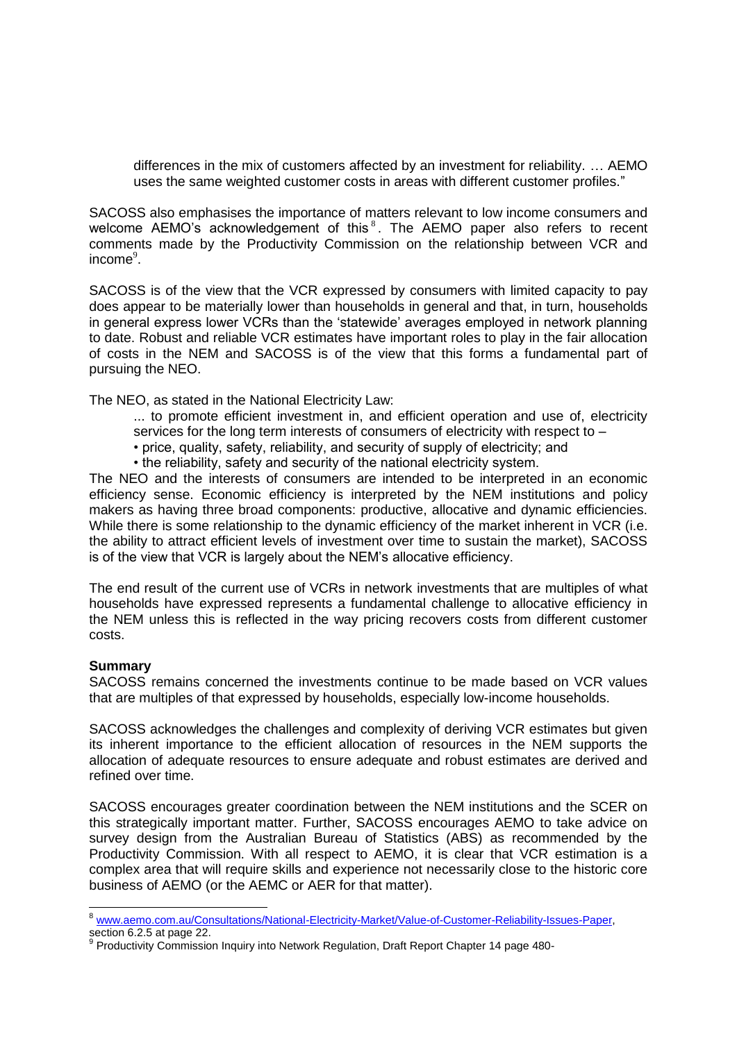differences in the mix of customers affected by an investment for reliability. … AEMO uses the same weighted customer costs in areas with different customer profiles."

SACOSS also emphasises the importance of matters relevant to low income consumers and welcome  $AEMO's$  acknowledgement of this  $s$ . The  $AEMO$  paper also refers to recent comments made by the Productivity Commission on the relationship between VCR and income $9$ .

SACOSS is of the view that the VCR expressed by consumers with limited capacity to pay does appear to be materially lower than households in general and that, in turn, households in general express lower VCRs than the 'statewide' averages employed in network planning to date. Robust and reliable VCR estimates have important roles to play in the fair allocation of costs in the NEM and SACOSS is of the view that this forms a fundamental part of pursuing the NEO.

The NEO, as stated in the National Electricity Law:

... to promote efficient investment in, and efficient operation and use of, electricity services for the long term interests of consumers of electricity with respect to –

• price, quality, safety, reliability, and security of supply of electricity; and

• the reliability, safety and security of the national electricity system.

The NEO and the interests of consumers are intended to be interpreted in an economic efficiency sense. Economic efficiency is interpreted by the NEM institutions and policy makers as having three broad components: productive, allocative and dynamic efficiencies. While there is some relationship to the dynamic efficiency of the market inherent in VCR (i.e. the ability to attract efficient levels of investment over time to sustain the market), SACOSS is of the view that VCR is largely about the NEM's allocative efficiency.

The end result of the current use of VCRs in network investments that are multiples of what households have expressed represents a fundamental challenge to allocative efficiency in the NEM unless this is reflected in the way pricing recovers costs from different customer costs.

## **Summary**

-

SACOSS remains concerned the investments continue to be made based on VCR values that are multiples of that expressed by households, especially low-income households.

SACOSS acknowledges the challenges and complexity of deriving VCR estimates but given its inherent importance to the efficient allocation of resources in the NEM supports the allocation of adequate resources to ensure adequate and robust estimates are derived and refined over time.

SACOSS encourages greater coordination between the NEM institutions and the SCER on this strategically important matter. Further, SACOSS encourages AEMO to take advice on survey design from the Australian Bureau of Statistics (ABS) as recommended by the Productivity Commission. With all respect to AEMO, it is clear that VCR estimation is a complex area that will require skills and experience not necessarily close to the historic core business of AEMO (or the AEMC or AER for that matter).

<sup>8</sup> [www.aemo.com.au/Consultations/National-Electricity-Market/Value-of-Customer-Reliability-Issues-Paper,](http://www.aemo.com.au/Consultations/National-Electricity-Market/Value-of-Customer-Reliability-Issues-Paper) section 6.2.5 at page 22.

Productivity Commission Inquiry into Network Regulation, Draft Report Chapter 14 page 480-